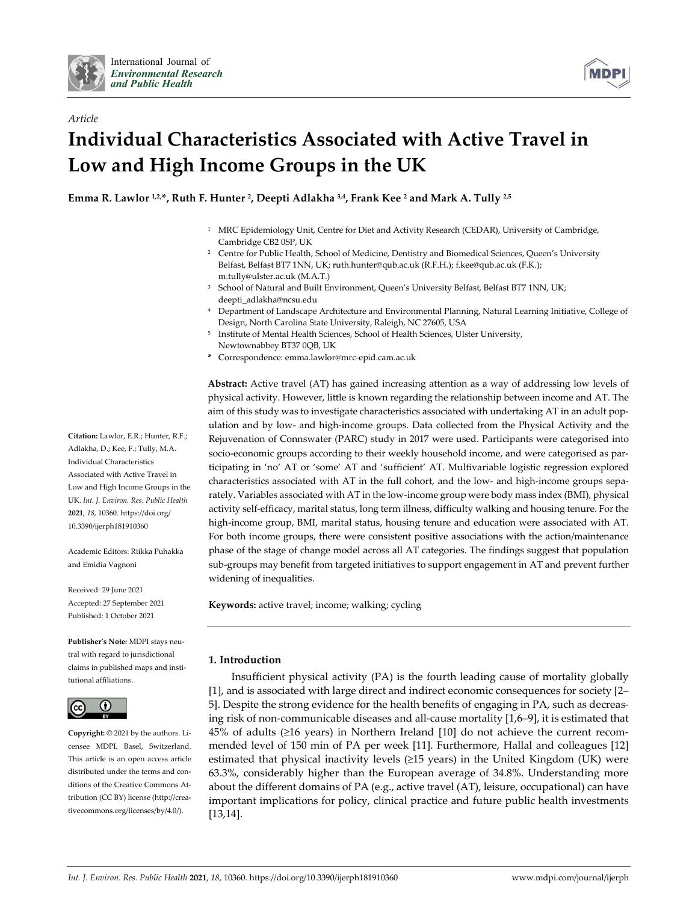

*Article*



# **Individual Characteristics Associated with Active Travel in Low and High Income Groups in the UK**

**Emma R. Lawlor 1,2, \*, Ruth F. Hunter 2, Deepti Adlakha 3,4, Frank Kee <sup>2</sup> and Mark A. Tully 2,5**

- <sup>1</sup> MRC Epidemiology Unit, Centre for Diet and Activity Research (CEDAR), University of Cambridge, Cambridge CB2 0SP, UK
- <sup>2</sup> Centre for Public Health, School of Medicine, Dentistry and Biomedical Sciences, Queen's University Belfast, Belfast BT7 1NN, UK; ruth.hunter@qub.ac.uk (R.F.H.); f.kee@qub.ac.uk (F.K.); m.tully@ulster.ac.uk (M.A.T.)
- School of Natural and Built Environment, Queen's University Belfast, Belfast BT7 1NN, UK; deepti\_adlakha@ncsu.edu
- <sup>4</sup> Department of Landscape Architecture and Environmental Planning, Natural Learning Initiative, College of Design, North Carolina State University, Raleigh, NC 27605, USA
- <sup>5</sup> Institute of Mental Health Sciences, School of Health Sciences, Ulster University, Newtownabbey BT37 0QB, UK
- **\*** Correspondence: emma.lawlor@mrc-epid.cam.ac.uk

**Abstract:** Active travel (AT) has gained increasing attention as a way of addressing low levels of physical activity. However, little is known regarding the relationship between income and AT. The aim of this study was to investigate characteristics associated with undertaking AT in an adult population and by low- and high-income groups. Data collected from the Physical Activity and the Rejuvenation of Connswater (PARC) study in 2017 were used. Participants were categorised into socio-economic groups according to their weekly household income, and were categorised as participating in 'no' AT or 'some' AT and 'sufficient' AT. Multivariable logistic regression explored characteristics associated with AT in the full cohort, and the low- and high-income groups separately. Variables associated with AT in the low-income group were body mass index (BMI), physical activity self-efficacy, marital status, long term illness, difficulty walking and housing tenure. For the high-income group, BMI, marital status, housing tenure and education were associated with AT. For both income groups, there were consistent positive associations with the action/maintenance phase of the stage of change model across all AT categories. The findings suggest that population sub-groups may benefit from targeted initiatives to support engagement in AT and prevent further widening of inequalities.

**Keywords:** active travel; income; walking; cycling

# **1. Introduction**

Insufficient physical activity (PA) is the fourth leading cause of mortality globally [1], and is associated with large direct and indirect economic consequences for society [2– 5]. Despite the strong evidence for the health benefits of engaging in PA, such as decreasing risk of non-communicable diseases and all-cause mortality [1,6–9], it is estimated that 45% of adults (≥16 years) in Northern Ireland [10] do not achieve the current recommended level of 150 min of PA per week [11]. Furthermore, Hallal and colleagues [12] estimated that physical inactivity levels  $(\geq 15 \text{ years})$  in the United Kingdom (UK) were 63.3%, considerably higher than the European average of 34.8%. Understanding more about the different domains of PA (e.g., active travel (AT), leisure, occupational) can have important implications for policy, clinical practice and future public health investments [13,14].

**Citation:** Lawlor, E.R.; Hunter, R.F.; Adlakha, D.; Kee, F.; Tully, M.A. Individual Characteristics Associated with Active Travel in Low and High Income Groups in the UK. *Int. J. Environ. Res. Public Health*  **2021**, *18*, 10360. https://doi.org/ 10.3390/ijerph181910360

Academic Editors: Riikka Puhakka and Emidia Vagnoni

Received: 29 June 2021 Accepted: 27 September 2021 Published: 1 October 2021

**Publisher's Note:** MDPI stays neutral with regard to jurisdictional claims in published maps and institutional affiliations.



**Copyright:** © 2021 by the authors. Licensee MDPI, Basel, Switzerland. This article is an open access article distributed under the terms and conditions of the Creative Commons Attribution (CC BY) license (http://creativecommons.org/licenses/by/4.0/).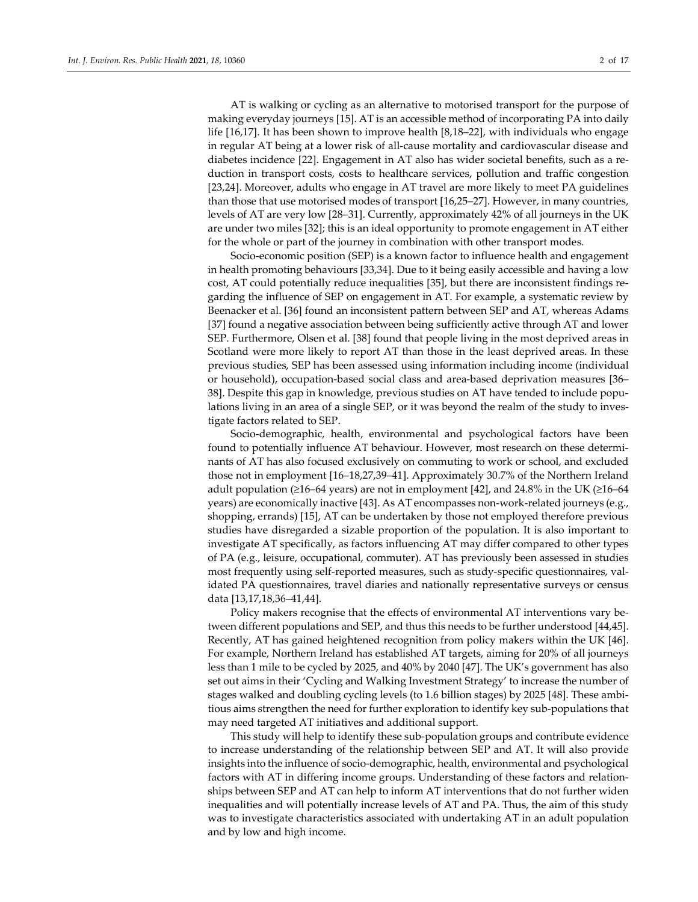AT is walking or cycling as an alternative to motorised transport for the purpose of making everyday journeys [15]. AT is an accessible method of incorporating PA into daily life [16,17]. It has been shown to improve health [8,18–22], with individuals who engage in regular AT being at a lower risk of all-cause mortality and cardiovascular disease and diabetes incidence [22]. Engagement in AT also has wider societal benefits, such as a reduction in transport costs, costs to healthcare services, pollution and traffic congestion [23,24]. Moreover, adults who engage in AT travel are more likely to meet PA guidelines than those that use motorised modes of transport [16,25–27]. However, in many countries, levels of AT are very low [28–31]. Currently, approximately 42% of all journeys in the UK are under two miles [32]; this is an ideal opportunity to promote engagement in AT either for the whole or part of the journey in combination with other transport modes.

Socio-economic position (SEP) is a known factor to influence health and engagement in health promoting behaviours [33,34]. Due to it being easily accessible and having a low cost, AT could potentially reduce inequalities [35], but there are inconsistent findings regarding the influence of SEP on engagement in AT. For example, a systematic review by Beenacker et al. [36] found an inconsistent pattern between SEP and AT, whereas Adams [37] found a negative association between being sufficiently active through AT and lower SEP. Furthermore, Olsen et al. [38] found that people living in the most deprived areas in Scotland were more likely to report AT than those in the least deprived areas. In these previous studies, SEP has been assessed using information including income (individual or household), occupation-based social class and area-based deprivation measures [36– 38]. Despite this gap in knowledge, previous studies on AT have tended to include populations living in an area of a single SEP, or it was beyond the realm of the study to investigate factors related to SEP.

Socio-demographic, health, environmental and psychological factors have been found to potentially influence AT behaviour. However, most research on these determinants of AT has also focused exclusively on commuting to work or school, and excluded those not in employment [16–18,27,39–41]. Approximately 30.7% of the Northern Ireland adult population ( $\geq 16-64$  years) are not in employment [42], and 24.8% in the UK ( $\geq 16-64$ years) are economically inactive [43]. As AT encompasses non-work-related journeys (e.g., shopping, errands) [15], AT can be undertaken by those not employed therefore previous studies have disregarded a sizable proportion of the population. It is also important to investigate AT specifically, as factors influencing AT may differ compared to other types of PA (e.g., leisure, occupational, commuter). AT has previously been assessed in studies most frequently using self-reported measures, such as study-specific questionnaires, validated PA questionnaires, travel diaries and nationally representative surveys or census data [13,17,18,36–41,44].

Policy makers recognise that the effects of environmental AT interventions vary between different populations and SEP, and thus this needs to be further understood [44,45]. Recently, AT has gained heightened recognition from policy makers within the UK [46]. For example, Northern Ireland has established AT targets, aiming for 20% of all journeys less than 1 mile to be cycled by 2025, and 40% by 2040 [47]. The UK's government has also set out aims in their 'Cycling and Walking Investment Strategy' to increase the number of stages walked and doubling cycling levels (to 1.6 billion stages) by 2025 [48]. These ambitious aims strengthen the need for further exploration to identify key sub-populations that may need targeted AT initiatives and additional support.

This study will help to identify these sub-population groups and contribute evidence to increase understanding of the relationship between SEP and AT. It will also provide insights into the influence of socio-demographic, health, environmental and psychological factors with AT in differing income groups. Understanding of these factors and relationships between SEP and AT can help to inform AT interventions that do not further widen inequalities and will potentially increase levels of AT and PA. Thus, the aim of this study was to investigate characteristics associated with undertaking AT in an adult population and by low and high income.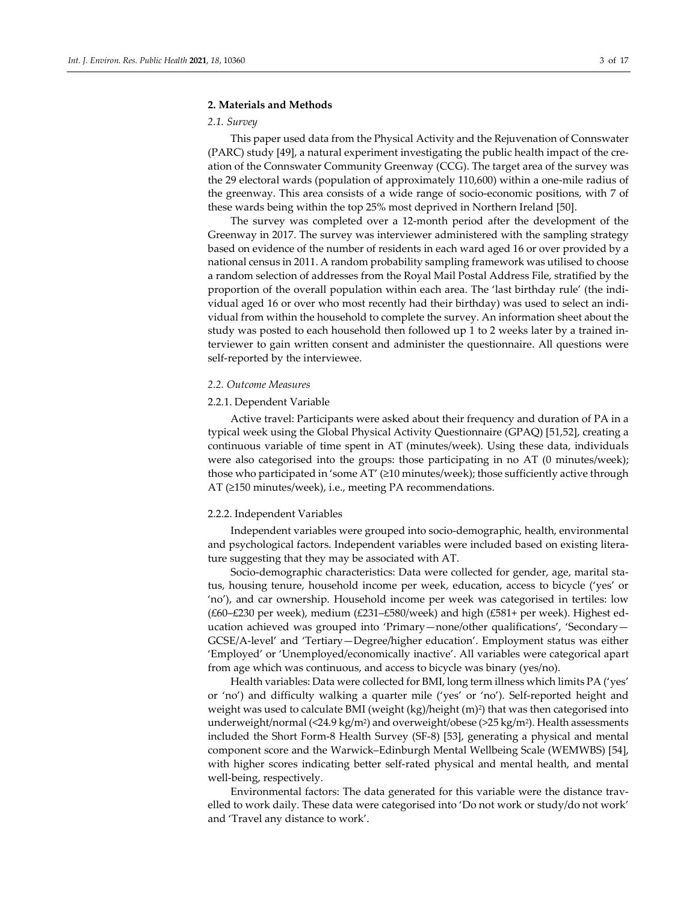## **2. Materials and Methods**

#### *2.1. Survey*

This paper used data from the Physical Activity and the Rejuvenation of Connswater (PARC) study [49], a natural experiment investigating the public health impact of the creation of the Connswater Community Greenway (CCG). The target area of the survey was the 29 electoral wards (population of approximately 110,600) within a one-mile radius of the greenway. This area consists of a wide range of socio-economic positions, with 7 of these wards being within the top 25% most deprived in Northern Ireland [50].

The survey was completed over a 12-month period after the development of the Greenway in 2017. The survey was interviewer administered with the sampling strategy based on evidence of the number of residents in each ward aged 16 or over provided by a national census in 2011. A random probability sampling framework was utilised to choose a random selection of addresses from the Royal Mail Postal Address File, stratified by the proportion of the overall population within each area. The 'last birthday rule' (the individual aged 16 or over who most recently had their birthday) was used to select an individual from within the household to complete the survey. An information sheet about the study was posted to each household then followed up 1 to 2 weeks later by a trained interviewer to gain written consent and administer the questionnaire. All questions were self-reported by the interviewee.

#### *2.2. Outcome Measures*

### 2.2.1. Dependent Variable

Active travel: Participants were asked about their frequency and duration of PA in a typical week using the Global Physical Activity Questionnaire (GPAQ) [51,52], creating a continuous variable of time spent in AT (minutes/week). Using these data, individuals were also categorised into the groups: those participating in no AT (0 minutes/week); those who participated in 'some AT' (≥10 minutes/week); those sufficiently active through AT (≥150 minutes/week), i.e., meeting PA recommendations.

## 2.2.2. Independent Variables

Independent variables were grouped into socio-demographic, health, environmental and psychological factors. Independent variables were included based on existing literature suggesting that they may be associated with AT.

Socio-demographic characteristics: Data were collected for gender, age, marital status, housing tenure, household income per week, education, access to bicycle ('yes' or 'no'), and car ownership. Household income per week was categorised in tertiles: low (£60–£230 per week), medium (£231–£580/week) and high (£581+ per week). Highest education achieved was grouped into 'Primary—none/other qualifications', 'Secondary— GCSE/A-level' and 'Tertiary—Degree/higher education'. Employment status was either 'Employed' or 'Unemployed/economically inactive'. All variables were categorical apart from age which was continuous, and access to bicycle was binary (yes/no).

Health variables: Data were collected for BMI, long term illness which limits PA ('yes' or 'no') and difficulty walking a quarter mile ('yes' or 'no'). Self-reported height and weight was used to calculate BMI (weight  $(kg)/\text{height (m)}^2$ ) that was then categorised into underweight/normal (<24.9 kg/m<sup>2</sup>) and overweight/obese (>25 kg/m<sup>2</sup>). Health assessments included the Short Form-8 Health Survey (SF-8) [53], generating a physical and mental component score and the Warwick–Edinburgh Mental Wellbeing Scale (WEMWBS) [54], with higher scores indicating better self-rated physical and mental health, and mental well-being, respectively.

Environmental factors: The data generated for this variable were the distance travelled to work daily. These data were categorised into 'Do not work or study/do not work' and 'Travel any distance to work'.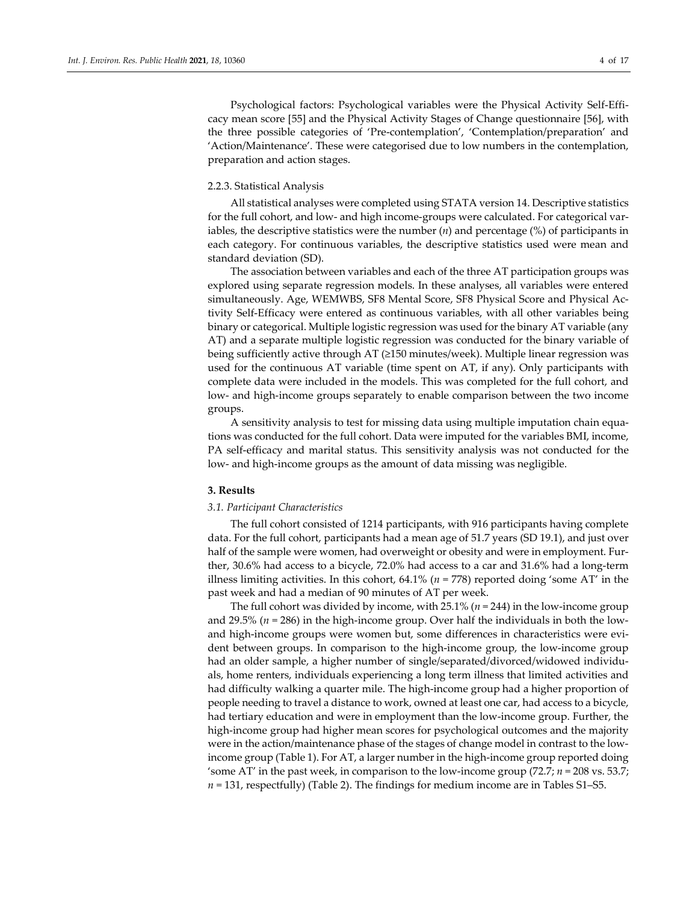Psychological factors: Psychological variables were the Physical Activity Self-Efficacy mean score [55] and the Physical Activity Stages of Change questionnaire [56], with the three possible categories of 'Pre-contemplation', 'Contemplation/preparation' and 'Action/Maintenance'. These were categorised due to low numbers in the contemplation, preparation and action stages.

## 2.2.3. Statistical Analysis

All statistical analyses were completed using STATA version 14. Descriptive statistics for the full cohort, and low- and high income-groups were calculated. For categorical variables, the descriptive statistics were the number (*n*) and percentage (%) of participants in each category. For continuous variables, the descriptive statistics used were mean and standard deviation (SD).

The association between variables and each of the three AT participation groups was explored using separate regression models. In these analyses, all variables were entered simultaneously. Age, WEMWBS, SF8 Mental Score, SF8 Physical Score and Physical Activity Self-Efficacy were entered as continuous variables, with all other variables being binary or categorical. Multiple logistic regression was used for the binary AT variable (any AT) and a separate multiple logistic regression was conducted for the binary variable of being sufficiently active through AT (≥150 minutes/week). Multiple linear regression was used for the continuous AT variable (time spent on AT, if any). Only participants with complete data were included in the models. This was completed for the full cohort, and low- and high-income groups separately to enable comparison between the two income groups.

A sensitivity analysis to test for missing data using multiple imputation chain equations was conducted for the full cohort. Data were imputed for the variables BMI, income, PA self-efficacy and marital status. This sensitivity analysis was not conducted for the low- and high-income groups as the amount of data missing was negligible.

## **3. Results**

## *3.1. Participant Characteristics*

The full cohort consisted of 1214 participants, with 916 participants having complete data. For the full cohort, participants had a mean age of 51.7 years (SD 19.1), and just over half of the sample were women, had overweight or obesity and were in employment. Further, 30.6% had access to a bicycle, 72.0% had access to a car and 31.6% had a long-term illness limiting activities. In this cohort,  $64.1\%$  ( $n = 778$ ) reported doing 'some AT' in the past week and had a median of 90 minutes of AT per week.

The full cohort was divided by income, with 25.1% (*n* = 244) in the low-income group and 29.5% (*n* = 286) in the high-income group. Over half the individuals in both the lowand high-income groups were women but, some differences in characteristics were evident between groups. In comparison to the high-income group, the low-income group had an older sample, a higher number of single/separated/divorced/widowed individuals, home renters, individuals experiencing a long term illness that limited activities and had difficulty walking a quarter mile. The high-income group had a higher proportion of people needing to travel a distance to work, owned at least one car, had access to a bicycle, had tertiary education and were in employment than the low-income group. Further, the high-income group had higher mean scores for psychological outcomes and the majority were in the action/maintenance phase of the stages of change model in contrast to the lowincome group (Table 1). For AT, a larger number in the high-income group reported doing 'some AT' in the past week, in comparison to the low-income group (72.7; *n* = 208 vs. 53.7; *n* = 131, respectfully) (Table 2). The findings for medium income are in Tables S1–S5.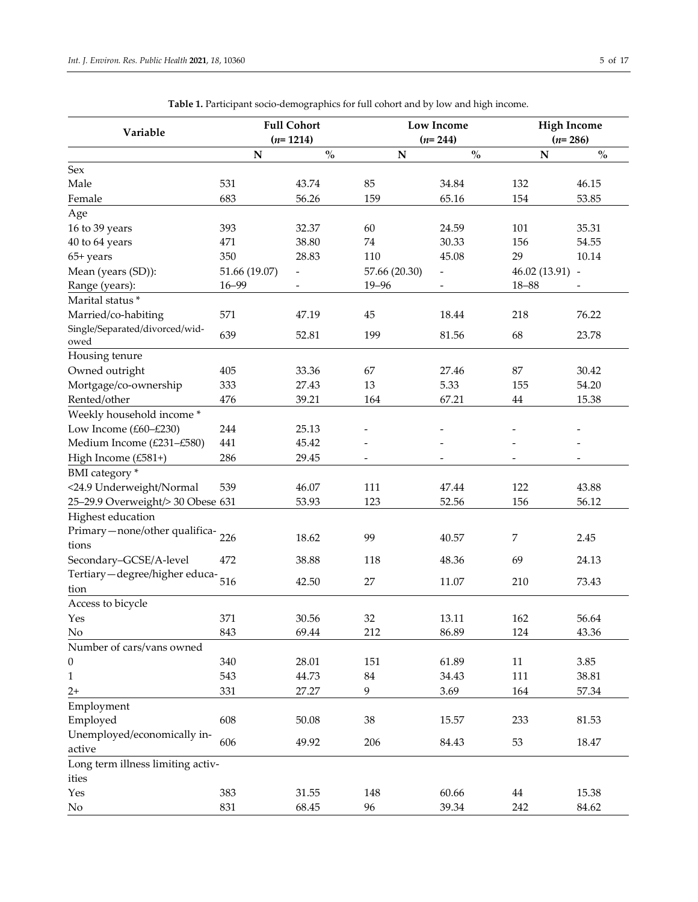| Variable                               |               | <b>Full Cohort</b>                 | <b>Low Income</b>        |                                    |                | <b>High Income</b>                 |  |
|----------------------------------------|---------------|------------------------------------|--------------------------|------------------------------------|----------------|------------------------------------|--|
|                                        |               | $(n=1214)$                         | $(n=244)$                |                                    | $(n=286)$      |                                    |  |
|                                        | N             | $\mathbf{0}_{\mathbf{0}}^{\prime}$ | ${\bf N}$                | $\mathbf{0}_{\mathbf{0}}^{\prime}$ | $\mathbf N$    | $\mathbf{O}_{\mathbf{O}}^{\prime}$ |  |
| Sex                                    |               |                                    |                          |                                    |                |                                    |  |
| Male                                   | 531           | 43.74                              | 85                       | 34.84                              | 132            | 46.15                              |  |
| Female                                 | 683           | 56.26                              | 159                      | 65.16                              | 154            | 53.85                              |  |
| Age                                    |               |                                    |                          |                                    |                |                                    |  |
| 16 to 39 years                         | 393           | 32.37                              | 60                       | 24.59                              | 101            | 35.31                              |  |
| 40 to 64 years                         | 471           | 38.80                              | 74                       | 30.33                              | 156            | 54.55                              |  |
| 65+ years                              | 350           | 28.83                              | 110                      | 45.08                              | 29             | 10.14                              |  |
| Mean (years (SD)):                     | 51.66 (19.07) | $\overline{\phantom{m}}$           | 57.66 (20.30)            |                                    | 46.02 (13.91)  | $\overline{\phantom{a}}$           |  |
| Range (years):                         | 16-99         |                                    | $19 - 96$                |                                    | $18 - 88$      |                                    |  |
| Marital status*                        |               |                                    |                          |                                    |                |                                    |  |
| Married/co-habiting                    | 571           | 47.19                              | 45                       | 18.44                              | 218            | 76.22                              |  |
| Single/Separated/divorced/wid-<br>owed | 639           | 52.81                              | 199                      | 81.56                              | 68             | 23.78                              |  |
| Housing tenure                         |               |                                    |                          |                                    |                |                                    |  |
| Owned outright                         | 405           | 33.36                              | 67                       | 27.46                              | 87             | 30.42                              |  |
| Mortgage/co-ownership                  | 333           | 27.43                              | 13                       | 5.33                               | 155            | 54.20                              |  |
| Rented/other                           | 476           | 39.21                              | 164                      | 67.21                              | $44\,$         | 15.38                              |  |
| Weekly household income *              |               |                                    |                          |                                    |                |                                    |  |
| Low Income (£60-£230)                  | 244           | 25.13                              |                          |                                    |                |                                    |  |
| Medium Income (£231-£580)              | 441           | 45.42                              |                          |                                    |                |                                    |  |
| High Income (£581+)                    | 286           | 29.45                              | $\overline{\phantom{m}}$ |                                    |                | -                                  |  |
| BMI category *                         |               |                                    |                          |                                    |                |                                    |  |
| <24.9 Underweight/Normal               | 539           | 46.07                              | 111                      | 47.44                              | 122            | 43.88                              |  |
| 25-29.9 Overweight/> 30 Obese 631      |               | 53.93                              | 123                      | 52.56                              | 156            | 56.12                              |  |
| Highest education                      |               |                                    |                          |                                    |                |                                    |  |
| Primary-none/other qualifica-          |               |                                    |                          |                                    |                |                                    |  |
| tions                                  | 226           | 18.62                              | 99                       | 40.57                              | $\overline{7}$ | 2.45                               |  |
| Secondary-GCSE/A-level                 | 472           | 38.88                              | 118                      | 48.36                              | 69             | 24.13                              |  |
| Tertiary-degree/higher educa-          | 516           |                                    |                          |                                    |                |                                    |  |
| tion                                   |               | 42.50                              | 27                       | 11.07                              | 210            | 73.43                              |  |
| Access to bicycle                      |               |                                    |                          |                                    |                |                                    |  |
| Yes                                    | 371           | 30.56                              | 32                       | 13.11                              | 162            | 56.64                              |  |
| $\rm No$                               | 843           | 69.44                              | 212                      | 86.89                              | 124            | 43.36                              |  |
| Number of cars/vans owned              |               |                                    |                          |                                    |                |                                    |  |
| $\boldsymbol{0}$                       | 340           | 28.01                              | 151                      | 61.89                              | $11\,$         | 3.85                               |  |
| $\mathbf{1}$                           | 543           | 44.73                              | $84\,$                   | 34.43                              | 111            | 38.81                              |  |
| $2+$                                   | 331           | 27.27                              | 9                        | 3.69                               | 164            | 57.34                              |  |
| Employment                             |               |                                    |                          |                                    |                |                                    |  |
| Employed                               | 608           | 50.08                              | 38                       | 15.57                              | 233            | 81.53                              |  |
| Unemployed/economically in-            |               |                                    |                          |                                    |                |                                    |  |
| active                                 | 606           | 49.92                              | 206                      | 84.43                              | 53             | 18.47                              |  |
| Long term illness limiting activ-      |               |                                    |                          |                                    |                |                                    |  |
| ities                                  |               |                                    |                          |                                    |                |                                    |  |
| Yes                                    | 383           | 31.55                              | 148                      | 60.66                              | $44\,$         | 15.38                              |  |
| No                                     | 831           | 68.45                              | 96                       | 39.34                              | 242            | 84.62                              |  |

**Table 1.** Participant socio-demographics for full cohort and by low and high income.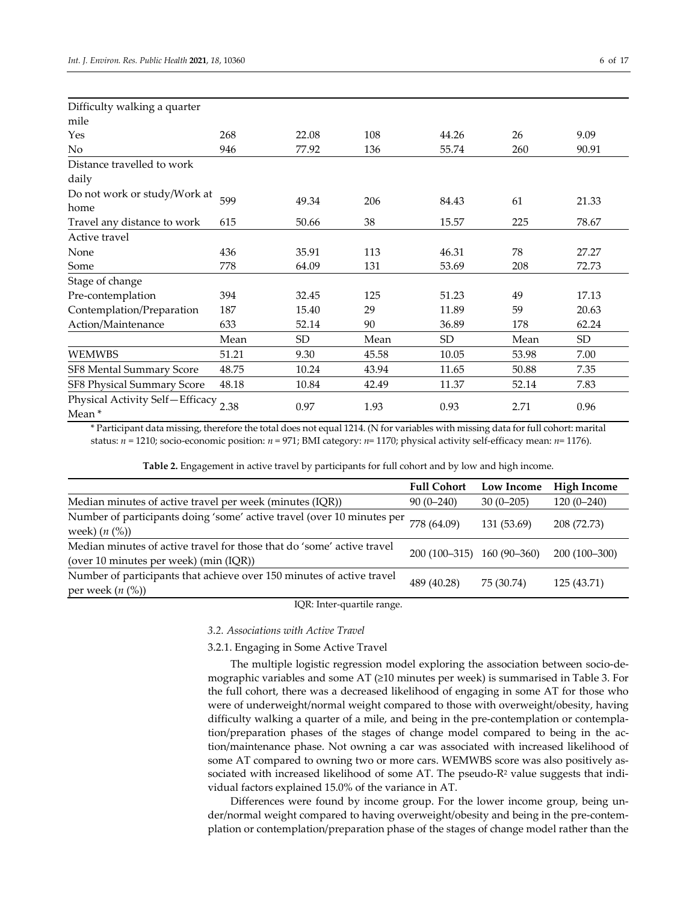| Difficulty walking a quarter                  |       |           |       |           |       |           |
|-----------------------------------------------|-------|-----------|-------|-----------|-------|-----------|
| mile                                          |       |           |       |           |       |           |
| Yes                                           | 268   | 22.08     | 108   | 44.26     | 26    | 9.09      |
| No.                                           | 946   | 77.92     | 136   | 55.74     | 260   | 90.91     |
| Distance travelled to work                    |       |           |       |           |       |           |
| daily                                         |       |           |       |           |       |           |
| Do not work or study/Work at                  | 599   |           |       |           | 61    |           |
| home                                          |       | 49.34     | 206   | 84.43     |       | 21.33     |
| Travel any distance to work                   | 615   | 50.66     | 38    | 15.57     | 225   | 78.67     |
| Active travel                                 |       |           |       |           |       |           |
| None                                          | 436   | 35.91     | 113   | 46.31     | 78    | 27.27     |
| Some                                          | 778   | 64.09     | 131   | 53.69     | 208   | 72.73     |
| Stage of change                               |       |           |       |           |       |           |
| Pre-contemplation                             | 394   | 32.45     | 125   | 51.23     | 49    | 17.13     |
| Contemplation/Preparation                     | 187   | 15.40     | 29    | 11.89     | 59    | 20.63     |
| Action/Maintenance                            | 633   | 52.14     | 90    | 36.89     | 178   | 62.24     |
|                                               | Mean  | <b>SD</b> | Mean  | <b>SD</b> | Mean  | <b>SD</b> |
| <b>WEMWBS</b>                                 | 51.21 | 9.30      | 45.58 | 10.05     | 53.98 | 7.00      |
| SF8 Mental Summary Score                      | 48.75 | 10.24     | 43.94 | 11.65     | 50.88 | 7.35      |
| SF8 Physical Summary Score                    | 48.18 | 10.84     | 42.49 | 11.37     | 52.14 | 7.83      |
| Physical Activity Self-Efficacy 2.38<br>Mean* |       | 0.97      | 1.93  | 0.93      | 2.71  | 0.96      |

\* Participant data missing, therefore the total does not equal 1214. (N for variables with missing data for full cohort: marital status: *n* = 1210; socio-economic position: *n* = 971; BMI category: *n*= 1170; physical activity self-efficacy mean: *n*= 1176).

| Table 2. Engagement in active travel by participants for full cohort and by low and high income. |  |  |
|--------------------------------------------------------------------------------------------------|--|--|
|                                                                                                  |  |  |

|                                                                                                                  | <b>Full Cohort</b>         | Low Income  | <b>High Income</b> |
|------------------------------------------------------------------------------------------------------------------|----------------------------|-------------|--------------------|
| Median minutes of active travel per week (minutes (IQR))                                                         | $90(0-240)$                | $30(0-205)$ | $120(0-240)$       |
| Number of participants doing 'some' active travel (over 10 minutes per<br>week) $(n (%))$                        | 778 (64.09)                | 131 (53.69) | 208 (72.73)        |
| Median minutes of active travel for those that do 'some' active travel<br>(over 10 minutes per week) (min (IQR)) | 200 (100–315) 160 (90–360) |             | 200 (100-300)      |
| Number of participants that achieve over 150 minutes of active travel<br>per week $(n \, 0)$                     | 489 (40.28)                | 75 (30.74)  | 125 (43.71)        |

IQR: Inter-quartile range.

## *3.2. Associations with Active Travel*

3.2.1. Engaging in Some Active Travel

The multiple logistic regression model exploring the association between socio-demographic variables and some AT (≥10 minutes per week) is summarised in Table 3. For the full cohort, there was a decreased likelihood of engaging in some AT for those who were of underweight/normal weight compared to those with overweight/obesity, having difficulty walking a quarter of a mile, and being in the pre-contemplation or contemplation/preparation phases of the stages of change model compared to being in the action/maintenance phase. Not owning a car was associated with increased likelihood of some AT compared to owning two or more cars. WEMWBS score was also positively associated with increased likelihood of some AT. The pseudo-R<sup>2</sup> value suggests that individual factors explained 15.0% of the variance in AT.

Differences were found by income group. For the lower income group, being under/normal weight compared to having overweight/obesity and being in the pre-contemplation or contemplation/preparation phase of the stages of change model rather than the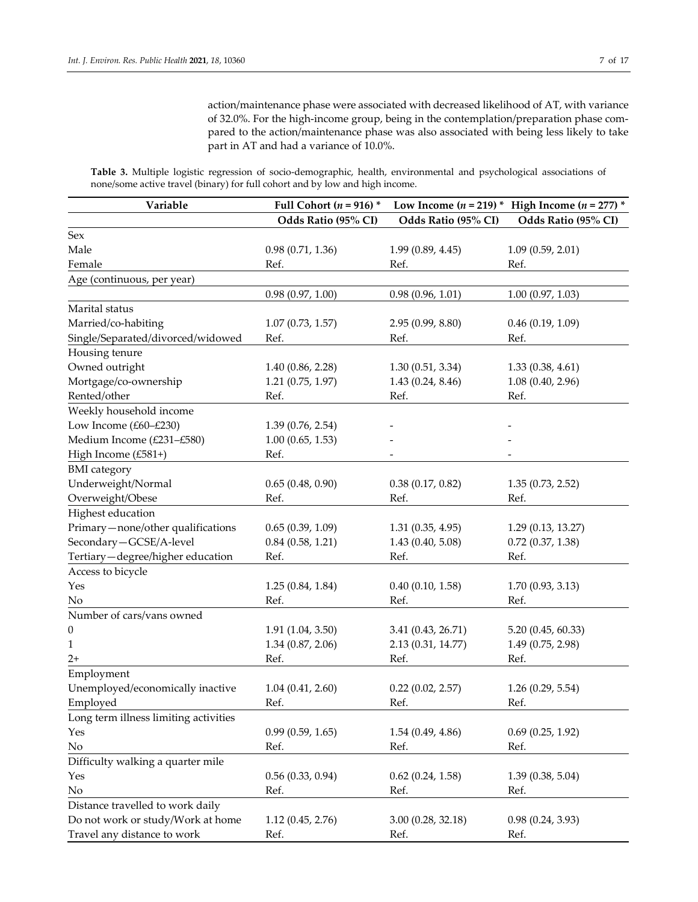action/maintenance phase were associated with decreased likelihood of AT, with variance of 32.0%. For the high-income group, being in the contemplation/preparation phase compared to the action/maintenance phase was also associated with being less likely to take part in AT and had a variance of 10.0%.

**Table 3.** Multiple logistic regression of socio-demographic, health, environmental and psychological associations of none/some active travel (binary) for full cohort and by low and high income.

| Variable                              | Full Cohort ( $n = 916$ ) * |                     | Low Income $(n = 219)$ * High Income $(n = 277)$ * |
|---------------------------------------|-----------------------------|---------------------|----------------------------------------------------|
|                                       | Odds Ratio (95% CI)         | Odds Ratio (95% CI) | Odds Ratio (95% CI)                                |
| Sex                                   |                             |                     |                                                    |
| Male                                  | 0.98(0.71, 1.36)            | 1.99(0.89, 4.45)    | 1.09(0.59, 2.01)                                   |
| Female                                | Ref.                        | Ref.                | Ref.                                               |
| Age (continuous, per year)            |                             |                     |                                                    |
|                                       | 0.98(0.97, 1.00)            | 0.98(0.96, 1.01)    | 1.00(0.97, 1.03)                                   |
| Marital status                        |                             |                     |                                                    |
| Married/co-habiting                   | 1.07(0.73, 1.57)            | 2.95(0.99, 8.80)    | 0.46(0.19, 1.09)                                   |
| Single/Separated/divorced/widowed     | Ref.                        | Ref.                | Ref.                                               |
| Housing tenure                        |                             |                     |                                                    |
| Owned outright                        | 1.40(0.86, 2.28)            | 1.30(0.51, 3.34)    | 1.33(0.38, 4.61)                                   |
| Mortgage/co-ownership                 | 1.21(0.75, 1.97)            | 1.43(0.24, 8.46)    | 1.08(0.40, 2.96)                                   |
| Rented/other                          | Ref.                        | Ref.                | Ref.                                               |
| Weekly household income               |                             |                     |                                                    |
| Low Income (£60-£230)                 | 1.39(0.76, 2.54)            |                     |                                                    |
| Medium Income (£231-£580)             | 1.00(0.65, 1.53)            |                     |                                                    |
| High Income (£581+)                   | Ref.                        |                     |                                                    |
| <b>BMI</b> category                   |                             |                     |                                                    |
| Underweight/Normal                    | 0.65(0.48, 0.90)            | 0.38(0.17, 0.82)    | 1.35(0.73, 2.52)                                   |
| Overweight/Obese                      | Ref.                        | Ref.                | Ref.                                               |
| Highest education                     |                             |                     |                                                    |
| Primary-none/other qualifications     | 0.65(0.39, 1.09)            | 1.31(0.35, 4.95)    | 1.29(0.13, 13.27)                                  |
| Secondary-GCSE/A-level                | 0.84(0.58, 1.21)            | 1.43(0.40, 5.08)    | $0.72$ $(0.37, 1.38)$                              |
| Tertiary-degree/higher education      | Ref.                        | Ref.                | Ref.                                               |
| Access to bicycle                     |                             |                     |                                                    |
| Yes                                   | 1.25(0.84, 1.84)            | 0.40(0.10, 1.58)    | 1.70(0.93, 3.13)                                   |
| No                                    | Ref.                        | Ref.                | Ref.                                               |
| Number of cars/vans owned             |                             |                     |                                                    |
| 0                                     | 1.91(1.04, 3.50)            | 3.41 (0.43, 26.71)  | 5.20 (0.45, 60.33)                                 |
| 1                                     | 1.34(0.87, 2.06)            | 2.13 (0.31, 14.77)  | 1.49 (0.75, 2.98)                                  |
| $2+$                                  | Ref.                        | Ref.                | Ref.                                               |
| Employment                            |                             |                     |                                                    |
| Unemployed/economically inactive      | 1.04(0.41, 2.60)            | 0.22(0.02, 2.57)    | 1.26(0.29, 5.54)                                   |
| Employed                              | Ref.                        | Ref.                | Ref.                                               |
| Long term illness limiting activities |                             |                     |                                                    |
| Yes                                   | 0.99(0.59, 1.65)            | 1.54(0.49, 4.86)    | 0.69(0.25, 1.92)                                   |
| No                                    | Ref.                        | Ref.                | Ref.                                               |
| Difficulty walking a quarter mile     |                             |                     |                                                    |
| Yes                                   | 0.56(0.33, 0.94)            | 0.62(0.24, 1.58)    | 1.39(0.38, 5.04)                                   |
| $\rm No$                              | Ref.                        | Ref.                | Ref.                                               |
| Distance travelled to work daily      |                             |                     |                                                    |
| Do not work or study/Work at home     | 1.12(0.45, 2.76)            | 3.00(0.28, 32.18)   | 0.98(0.24, 3.93)                                   |
| Travel any distance to work           | Ref.                        | Ref.                | Ref.                                               |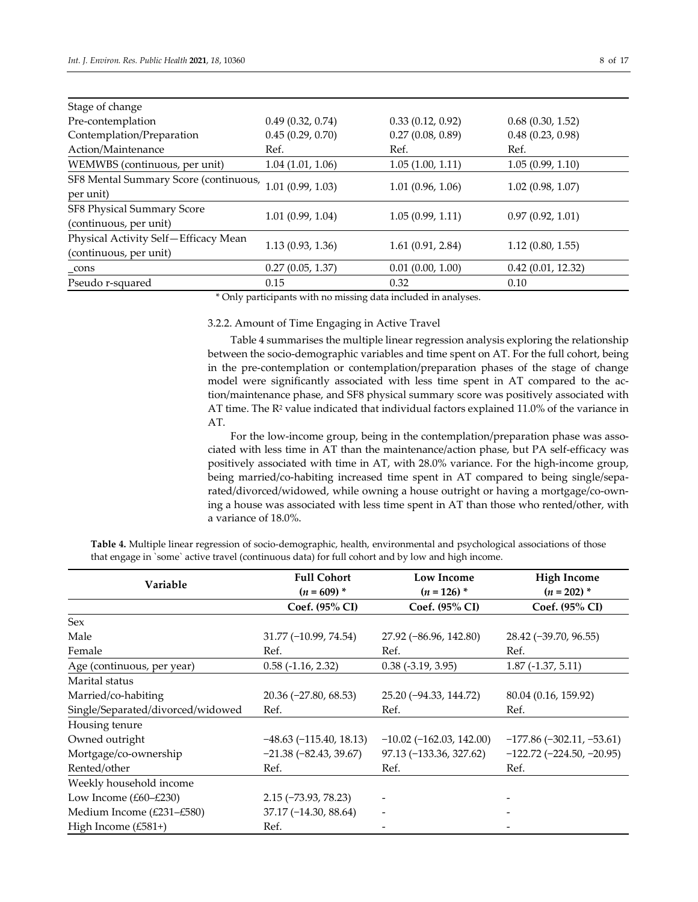| Stage of change                       |                  |                  |                   |
|---------------------------------------|------------------|------------------|-------------------|
| Pre-contemplation                     | 0.49(0.32, 0.74) | 0.33(0.12, 0.92) | 0.68(0.30, 1.52)  |
| Contemplation/Preparation             | 0.45(0.29, 0.70) | 0.27(0.08, 0.89) | 0.48(0.23, 0.98)  |
| Action/Maintenance                    | Ref.             | Ref.             | Ref.              |
| WEMWBS (continuous, per unit)         | 1.04(1.01, 1.06) | 1.05(1.00, 1.11) | 1.05(0.99, 1.10)  |
| SF8 Mental Summary Score (continuous, |                  |                  |                   |
| per unit)                             | 1.01(0.99, 1.03) | 1.01(0.96, 1.06) | 1.02(0.98, 1.07)  |
| SF8 Physical Summary Score            |                  |                  | 0.97(0.92, 1.01)  |
| (continuous, per unit)                | 1.01(0.99, 1.04) | 1.05(0.99, 1.11) |                   |
| Physical Activity Self-Efficacy Mean  |                  |                  |                   |
| (continuous, per unit)                | 1.13(0.93, 1.36) | 1.61(0.91, 2.84) | 1.12(0.80, 1.55)  |
| _cons                                 | 0.27(0.05, 1.37) | 0.01(0.00, 1.00) | 0.42(0.01, 12.32) |
| Pseudo r-squared                      | 0.15             | 0.32             | 0.10              |

\* Only participants with no missing data included in analyses.

## 3.2.2. Amount of Time Engaging in Active Travel

Table 4 summarises the multiple linear regression analysis exploring the relationship between the socio-demographic variables and time spent on AT. For the full cohort, being in the pre-contemplation or contemplation/preparation phases of the stage of change model were significantly associated with less time spent in AT compared to the action/maintenance phase, and SF8 physical summary score was positively associated with AT time. The  $R^2$  value indicated that individual factors explained 11.0% of the variance in AT.

For the low-income group, being in the contemplation/preparation phase was associated with less time in AT than the maintenance/action phase, but PA self-efficacy was positively associated with time in AT, with 28.0% variance. For the high-income group, being married/co-habiting increased time spent in AT compared to being single/separated/divorced/widowed, while owning a house outright or having a mortgage/co-owning a house was associated with less time spent in AT than those who rented/other, with a variance of 18.0%.

**Table 4.** Multiple linear regression of socio-demographic, health, environmental and psychological associations of those that engage in `some` active travel (continuous data) for full cohort and by low and high income.

| Variable                          | <b>Full Cohort</b><br>$(n = 609)^{*}$ | <b>Low Income</b><br>$(n = 126)$ * | <b>High Income</b><br>$(n=202)$ *  |
|-----------------------------------|---------------------------------------|------------------------------------|------------------------------------|
|                                   | Coef. (95% CI)                        | Coef. (95% CI)                     | Coef. (95% CI)                     |
| Sex                               |                                       |                                    |                                    |
| Male                              | 31.77 (-10.99, 74.54)                 | $27.92 (-86.96, 142.80)$           | 28.42 (-39.70, 96.55)              |
| Female                            | Ref.                                  | Ref.                               | Ref.                               |
| Age (continuous, per year)        | $0.58$ ( $-1.16$ , 2.32)              | $0.38$ ( $-3.19$ , $3.95$ )        | $1.87(-1.37, 5.11)$                |
| Marital status                    |                                       |                                    |                                    |
| Married/co-habiting               | $20.36 (-27.80, 68.53)$               | 25.20 (-94.33, 144.72)             | 80.04 (0.16, 159.92)               |
| Single/Separated/divorced/widowed | Ref.                                  | Ref.                               | Ref.                               |
| Housing tenure                    |                                       |                                    |                                    |
| Owned outright                    | $-48.63(-115.40, 18.13)$              | $-10.02$ ( $-162.03$ , 142.00)     | $-177.86(-302.11, -53.61)$         |
| Mortgage/co-ownership             | $-21.38(-82.43, 39.67)$               | 97.13 (-133.36, 327.62)            | $-122.72$ ( $-224.50$ , $-20.95$ ) |
| Rented/other                      | Ref.                                  | Ref.                               | Ref.                               |
| Weekly household income           |                                       |                                    |                                    |
| Low Income $(E60 - E230)$         | $2.15$ ( $-73.93$ , $78.23$ )         |                                    |                                    |
| Medium Income (£231-£580)         | $37.17(-14.30, 88.64)$                |                                    |                                    |
| High Income $(E581+)$             | Ref.                                  |                                    |                                    |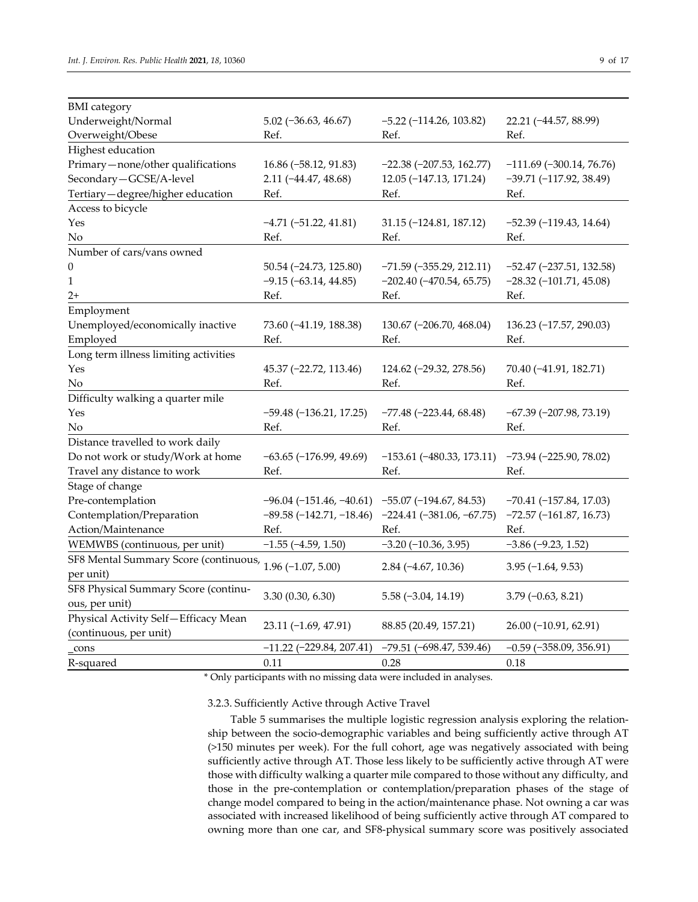| <b>BMI</b> category                   |                                                    |                                  |                                |
|---------------------------------------|----------------------------------------------------|----------------------------------|--------------------------------|
| Underweight/Normal                    | $5.02$ ( $-36.63$ , $46.67$ )                      | $-5.22$ ( $-114.26$ , $103.82$ ) | 22.21 (-44.57, 88.99)          |
| Overweight/Obese                      | Ref.                                               | Ref.                             | Ref.                           |
| Highest education                     |                                                    |                                  |                                |
| Primary-none/other qualifications     | 16.86 (-58.12, 91.83)                              | $-22.38$ $(-207.53, 162.77)$     | $-111.69$ ( $-300.14$ , 76.76) |
| Secondary-GCSE/A-level                | $2.11 (-44.47, 48.68)$                             | 12.05 (-147.13, 171.24)          | $-39.71(-117.92, 38.49)$       |
| Tertiary-degree/higher education      | Ref.                                               | Ref.                             | Ref.                           |
| Access to bicycle                     |                                                    |                                  |                                |
| Yes                                   | $-4.71(-51.22, 41.81)$                             | $31.15 (-124.81, 187.12)$        | $-52.39(-119.43, 14.64)$       |
| No                                    | Ref.                                               | Ref.                             | Ref.                           |
| Number of cars/vans owned             |                                                    |                                  |                                |
| $\Omega$                              | 50.54 (-24.73, 125.80)                             | $-71.59$ ( $-355.29$ , 212.11)   | $-52.47$ ( $-237.51$ , 132.58) |
| 1                                     | $-9.15 (-63.14, 44.85)$                            | $-202.40$ $(-470.54, 65.75)$     | $-28.32$ ( $-101.71$ , 45.08)  |
| $2+$                                  | Ref.                                               | Ref.                             | Ref.                           |
| Employment                            |                                                    |                                  |                                |
| Unemployed/economically inactive      | 73.60 (-41.19, 188.38)                             | 130.67 (-206.70, 468.04)         | 136.23 (-17.57, 290.03)        |
| Employed                              | Ref.                                               | Ref.                             | Ref.                           |
| Long term illness limiting activities |                                                    |                                  |                                |
| Yes                                   | 45.37 (-22.72, 113.46)                             | 124.62 (-29.32, 278.56)          | 70.40 (-41.91, 182.71)         |
| No                                    | Ref.                                               | Ref.                             | Ref.                           |
| Difficulty walking a quarter mile     |                                                    |                                  |                                |
| Yes                                   | $-59.48$ $(-136.21, 17.25)$                        | $-77.48$ ( $-223.44$ , 68.48)    | $-67.39$ $(-207.98, 73.19)$    |
| No                                    | Ref.                                               | Ref.                             | Ref.                           |
| Distance travelled to work daily      |                                                    |                                  |                                |
| Do not work or study/Work at home     | $-63.65$ $(-176.99, 49.69)$                        | $-153.61$ ( $-480.33$ , 173.11)  | $-73.94 (-225.90, 78.02)$      |
| Travel any distance to work           | Ref.                                               | Ref.                             | Ref.                           |
| Stage of change                       |                                                    |                                  |                                |
| Pre-contemplation                     | $-96.04$ (-151.46, -40.61) -55.07 (-194.67, 84.53) |                                  | $-70.41(-157.84, 17.03)$       |
| Contemplation/Preparation             | $-89.58(-142.71,-18.46)$                           | $-224.41 (-381.06, -67.75)$      | $-72.57$ ( $-161.87$ , 16.73)  |
| Action/Maintenance                    | Ref.                                               | Ref.                             | Ref.                           |
| WEMWBS (continuous, per unit)         | $-1.55$ ( $-4.59$ , 1.50)                          | $-3.20$ $(-10.36, 3.95)$         | $-3.86(-9.23, 1.52)$           |
| SF8 Mental Summary Score (continuous, |                                                    |                                  |                                |
| per unit)                             | $1.96 (-1.07, 5.00)$                               | $2.84 (-4.67, 10.36)$            | $3.95(-1.64, 9.53)$            |
| SF8 Physical Summary Score (continu-  |                                                    |                                  |                                |
| ous, per unit)                        | 3.30(0.30, 6.30)                                   | $5.58(-3.04, 14.19)$             | $3.79(-0.63, 8.21)$            |
| Physical Activity Self-Efficacy Mean  |                                                    |                                  |                                |
| (continuous, per unit)                | 23.11 (-1.69, 47.91)                               | 88.85 (20.49, 157.21)            | 26.00 (-10.91, 62.91)          |
| cons                                  | $-11.22$ ( $-229.84$ , 207.41)                     | $-79.51 (-698.47, 539.46)$       | $-0.59$ ( $-358.09$ , 356.91)  |
| R-squared                             | 0.11                                               | 0.28                             | 0.18                           |

\* Only participants with no missing data were included in analyses.

3.2.3. Sufficiently Active through Active Travel

Table 5 summarises the multiple logistic regression analysis exploring the relationship between the socio-demographic variables and being sufficiently active through AT (>150 minutes per week). For the full cohort, age was negatively associated with being sufficiently active through AT. Those less likely to be sufficiently active through AT were those with difficulty walking a quarter mile compared to those without any difficulty, and those in the pre-contemplation or contemplation/preparation phases of the stage of change model compared to being in the action/maintenance phase. Not owning a car was associated with increased likelihood of being sufficiently active through AT compared to owning more than one car, and SF8-physical summary score was positively associated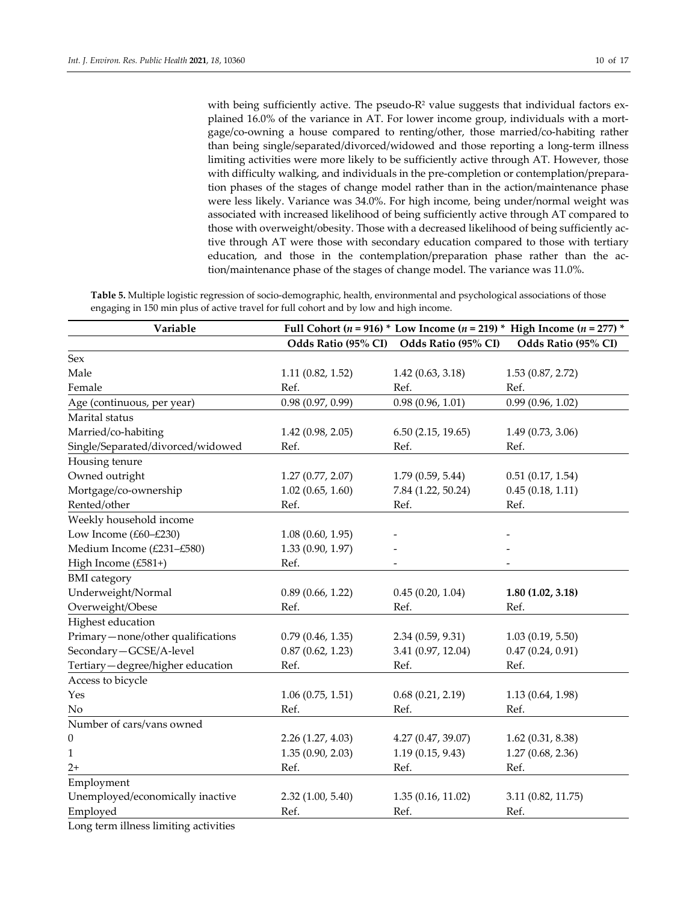with being sufficiently active. The pseudo- $R<sup>2</sup>$  value suggests that individual factors explained 16.0% of the variance in AT. For lower income group, individuals with a mortgage/co-owning a house compared to renting/other, those married/co-habiting rather than being single/separated/divorced/widowed and those reporting a long-term illness limiting activities were more likely to be sufficiently active through AT. However, those with difficulty walking, and individuals in the pre-completion or contemplation/preparation phases of the stages of change model rather than in the action/maintenance phase were less likely. Variance was 34.0%. For high income, being under/normal weight was associated with increased likelihood of being sufficiently active through AT compared to those with overweight/obesity. Those with a decreased likelihood of being sufficiently active through AT were those with secondary education compared to those with tertiary education, and those in the contemplation/preparation phase rather than the action/maintenance phase of the stages of change model. The variance was 11.0%.

**Table 5.** Multiple logistic regression of socio-demographic, health, environmental and psychological associations of those engaging in 150 min plus of active travel for full cohort and by low and high income.

| Variable                            |                     | Full Cohort ( $n = 916$ ) * Low Income ( $n = 219$ ) * High Income ( $n = 277$ ) * |                     |  |
|-------------------------------------|---------------------|------------------------------------------------------------------------------------|---------------------|--|
|                                     | Odds Ratio (95% CI) | Odds Ratio (95% CI)                                                                | Odds Ratio (95% CI) |  |
| Sex                                 |                     |                                                                                    |                     |  |
| Male                                | 1.11(0.82, 1.52)    | 1.42(0.63, 3.18)                                                                   | 1.53(0.87, 2.72)    |  |
| Female                              | Ref.                | Ref.                                                                               | Ref.                |  |
| Age (continuous, per year)          | 0.98(0.97, 0.99)    | 0.98(0.96, 1.01)                                                                   | 0.99(0.96, 1.02)    |  |
| Marital status                      |                     |                                                                                    |                     |  |
| Married/co-habiting                 | 1.42(0.98, 2.05)    | 6.50(2.15, 19.65)                                                                  | 1.49(0.73, 3.06)    |  |
| Single/Separated/divorced/widowed   | Ref.                | Ref.                                                                               | Ref.                |  |
| Housing tenure                      |                     |                                                                                    |                     |  |
| Owned outright                      | 1.27(0.77, 2.07)    | 1.79(0.59, 5.44)                                                                   | 0.51(0.17, 1.54)    |  |
| Mortgage/co-ownership               | 1.02(0.65, 1.60)    | 7.84 (1.22, 50.24)                                                                 | 0.45(0.18, 1.11)    |  |
| Rented/other                        | Ref.                | Ref.                                                                               | Ref.                |  |
| Weekly household income             |                     |                                                                                    |                     |  |
| Low Income (£60-£230)               | 1.08(0.60, 1.95)    |                                                                                    |                     |  |
| Medium Income (£231-£580)           | 1.33 (0.90, 1.97)   |                                                                                    |                     |  |
| High Income (£581+)                 | Ref.                |                                                                                    |                     |  |
| <b>BMI</b> category                 |                     |                                                                                    |                     |  |
| Underweight/Normal                  | 0.89(0.66, 1.22)    | 0.45(0.20, 1.04)                                                                   | 1.80(1.02, 3.18)    |  |
| Overweight/Obese                    | Ref.                | Ref.                                                                               | Ref.                |  |
| Highest education                   |                     |                                                                                    |                     |  |
| Primary-none/other qualifications   | 0.79(0.46, 1.35)    | 2.34(0.59, 9.31)                                                                   | 1.03(0.19, 5.50)    |  |
| Secondary-GCSE/A-level              | 0.87(0.62, 1.23)    | 3.41 (0.97, 12.04)                                                                 | 0.47(0.24, 0.91)    |  |
| Tertiary-degree/higher education    | Ref.                | Ref.                                                                               | Ref.                |  |
| Access to bicycle                   |                     |                                                                                    |                     |  |
| Yes                                 | 1.06(0.75, 1.51)    | 0.68(0.21, 2.19)                                                                   | 1.13(0.64, 1.98)    |  |
| No                                  | Ref.                | Ref.                                                                               | Ref.                |  |
| Number of cars/vans owned           |                     |                                                                                    |                     |  |
| $\boldsymbol{0}$                    | 2.26(1.27, 4.03)    | 4.27(0.47, 39.07)                                                                  | 1.62(0.31, 8.38)    |  |
| 1                                   | 1.35(0.90, 2.03)    | 1.19(0.15, 9.43)                                                                   | 1.27(0.68, 2.36)    |  |
| $2+$                                | Ref.                | Ref.                                                                               | Ref.                |  |
| Employment                          |                     |                                                                                    |                     |  |
| Unemployed/economically inactive    | 2.32(1.00, 5.40)    | 1.35(0.16, 11.02)                                                                  | 3.11 (0.82, 11.75)  |  |
| Employed                            | Ref.                | Ref.                                                                               | Ref.                |  |
| as Milano de Maschitano, contextito |                     |                                                                                    |                     |  |

Long term illness limiting activities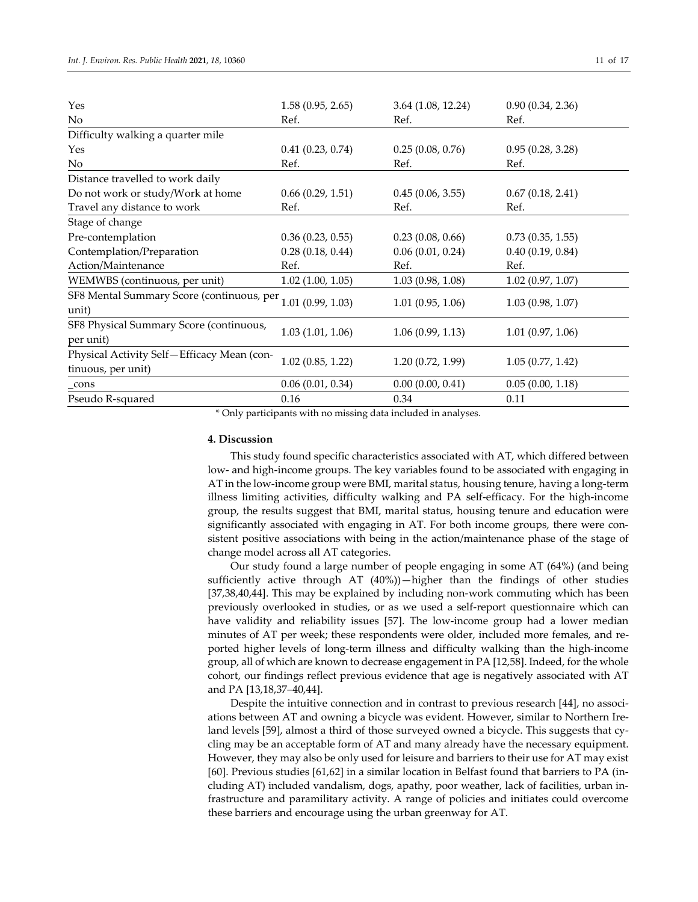| Yes                                                              | 1.58(0.95, 2.65) | 3.64(1.08, 12.24) | 0.90(0.34, 2.36) |
|------------------------------------------------------------------|------------------|-------------------|------------------|
| N <sub>o</sub>                                                   | Ref.             | Ref.              | Ref.             |
| Difficulty walking a quarter mile                                |                  |                   |                  |
| Yes                                                              | 0.41(0.23, 0.74) | 0.25(0.08, 0.76)  | 0.95(0.28, 3.28) |
| No                                                               | Ref.             | Ref.              | Ref.             |
| Distance travelled to work daily                                 |                  |                   |                  |
| Do not work or study/Work at home                                | 0.66(0.29, 1.51) | 0.45(0.06, 3.55)  | 0.67(0.18, 2.41) |
| Travel any distance to work                                      | Ref.             | Ref.              | Ref.             |
| Stage of change                                                  |                  |                   |                  |
| Pre-contemplation                                                | 0.36(0.23, 0.55) | 0.23(0.08, 0.66)  | 0.73(0.35, 1.55) |
| Contemplation/Preparation                                        | 0.28(0.18, 0.44) | 0.06(0.01, 0.24)  | 0.40(0.19, 0.84) |
| Action/Maintenance                                               | Ref.             | Ref.              | Ref.             |
| WEMWBS (continuous, per unit)                                    | 1.02(1.00, 1.05) | 1.03(0.98, 1.08)  | 1.02(0.97, 1.07) |
| SF8 Mental Summary Score (continuous, per<br>unit)               | 1.01(0.99, 1.03) | 1.01(0.95, 1.06)  | 1.03(0.98, 1.07) |
| SF8 Physical Summary Score (continuous,<br>per unit)             | 1.03(1.01, 1.06) | 1.06(0.99, 1.13)  | 1.01(0.97, 1.06) |
| Physical Activity Self-Efficacy Mean (con-<br>tinuous, per unit) | 1.02(0.85, 1.22) | 1.20(0.72, 1.99)  | 1.05(0.77, 1.42) |
| _cons                                                            | 0.06(0.01, 0.34) | 0.00(0.00, 0.41)  | 0.05(0.00, 1.18) |
| Pseudo R-squared                                                 | 0.16             | 0.34              | 0.11             |

\* Only participants with no missing data included in analyses.

## **4. Discussion**

This study found specific characteristics associated with AT, which differed between low- and high-income groups. The key variables found to be associated with engaging in AT in the low-income group were BMI, marital status, housing tenure, having a long-term illness limiting activities, difficulty walking and PA self-efficacy. For the high-income group, the results suggest that BMI, marital status, housing tenure and education were significantly associated with engaging in AT. For both income groups, there were consistent positive associations with being in the action/maintenance phase of the stage of change model across all AT categories.

Our study found a large number of people engaging in some AT (64%) (and being sufficiently active through AT (40%))—higher than the findings of other studies [37,38,40,44]. This may be explained by including non-work commuting which has been previously overlooked in studies, or as we used a self-report questionnaire which can have validity and reliability issues [57]. The low-income group had a lower median minutes of AT per week; these respondents were older, included more females, and reported higher levels of long-term illness and difficulty walking than the high-income group, all of which are known to decrease engagement in PA [12,58]. Indeed, for the whole cohort, our findings reflect previous evidence that age is negatively associated with AT and PA [13,18,37–40,44].

Despite the intuitive connection and in contrast to previous research [44], no associations between AT and owning a bicycle was evident. However, similar to Northern Ireland levels [59], almost a third of those surveyed owned a bicycle. This suggests that cycling may be an acceptable form of AT and many already have the necessary equipment. However, they may also be only used for leisure and barriers to their use for AT may exist [60]. Previous studies [61,62] in a similar location in Belfast found that barriers to PA (including AT) included vandalism, dogs, apathy, poor weather, lack of facilities, urban infrastructure and paramilitary activity. A range of policies and initiates could overcome these barriers and encourage using the urban greenway for AT.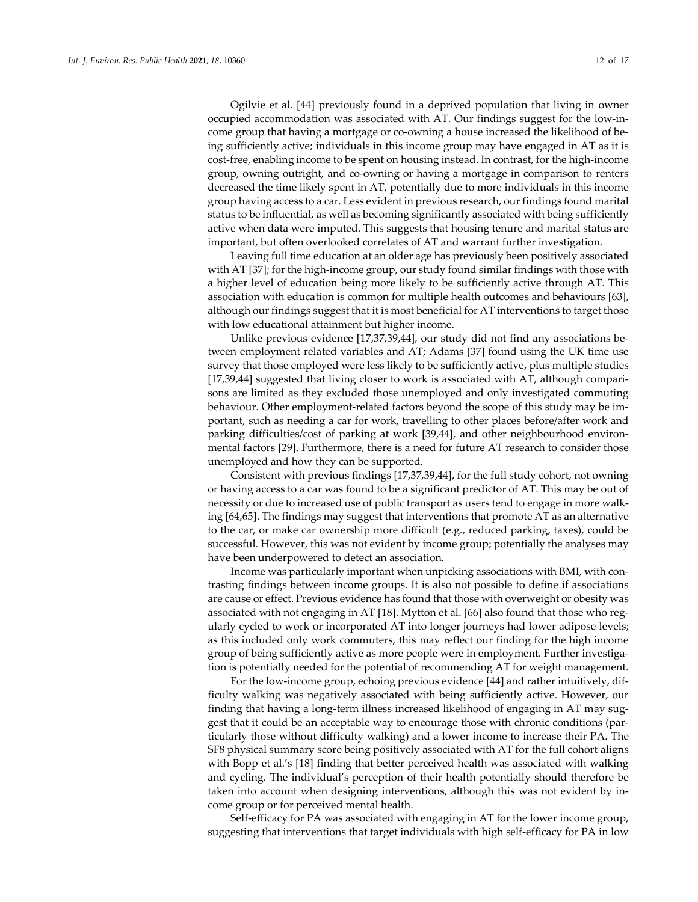Ogilvie et al. [44] previously found in a deprived population that living in owner occupied accommodation was associated with AT. Our findings suggest for the low-income group that having a mortgage or co-owning a house increased the likelihood of being sufficiently active; individuals in this income group may have engaged in AT as it is cost-free, enabling income to be spent on housing instead. In contrast, for the high-income group, owning outright, and co-owning or having a mortgage in comparison to renters decreased the time likely spent in AT, potentially due to more individuals in this income group having access to a car. Less evident in previous research, our findings found marital status to be influential, as well as becoming significantly associated with being sufficiently active when data were imputed. This suggests that housing tenure and marital status are important, but often overlooked correlates of AT and warrant further investigation.

Leaving full time education at an older age has previously been positively associated with AT [37]; for the high-income group, our study found similar findings with those with a higher level of education being more likely to be sufficiently active through AT. This association with education is common for multiple health outcomes and behaviours [63], although our findings suggest that it is most beneficial for AT interventions to target those with low educational attainment but higher income.

Unlike previous evidence [17,37,39,44], our study did not find any associations between employment related variables and AT; Adams [37] found using the UK time use survey that those employed were less likely to be sufficiently active, plus multiple studies [17,39,44] suggested that living closer to work is associated with AT, although comparisons are limited as they excluded those unemployed and only investigated commuting behaviour. Other employment-related factors beyond the scope of this study may be important, such as needing a car for work, travelling to other places before/after work and parking difficulties/cost of parking at work [39,44], and other neighbourhood environmental factors [29]. Furthermore, there is a need for future AT research to consider those unemployed and how they can be supported.

Consistent with previous findings [17,37,39,44], for the full study cohort, not owning or having access to a car was found to be a significant predictor of AT. This may be out of necessity or due to increased use of public transport as users tend to engage in more walking [64,65]. The findings may suggest that interventions that promote AT as an alternative to the car, or make car ownership more difficult (e.g., reduced parking, taxes), could be successful. However, this was not evident by income group; potentially the analyses may have been underpowered to detect an association.

Income was particularly important when unpicking associations with BMI, with contrasting findings between income groups. It is also not possible to define if associations are cause or effect. Previous evidence has found that those with overweight or obesity was associated with not engaging in AT [18]. Mytton et al. [66] also found that those who regularly cycled to work or incorporated AT into longer journeys had lower adipose levels; as this included only work commuters, this may reflect our finding for the high income group of being sufficiently active as more people were in employment. Further investigation is potentially needed for the potential of recommending AT for weight management.

For the low-income group, echoing previous evidence [44] and rather intuitively, difficulty walking was negatively associated with being sufficiently active. However, our finding that having a long-term illness increased likelihood of engaging in AT may suggest that it could be an acceptable way to encourage those with chronic conditions (particularly those without difficulty walking) and a lower income to increase their PA. The SF8 physical summary score being positively associated with AT for the full cohort aligns with Bopp et al.'s [18] finding that better perceived health was associated with walking and cycling. The individual's perception of their health potentially should therefore be taken into account when designing interventions, although this was not evident by income group or for perceived mental health.

Self-efficacy for PA was associated with engaging in AT for the lower income group, suggesting that interventions that target individuals with high self-efficacy for PA in low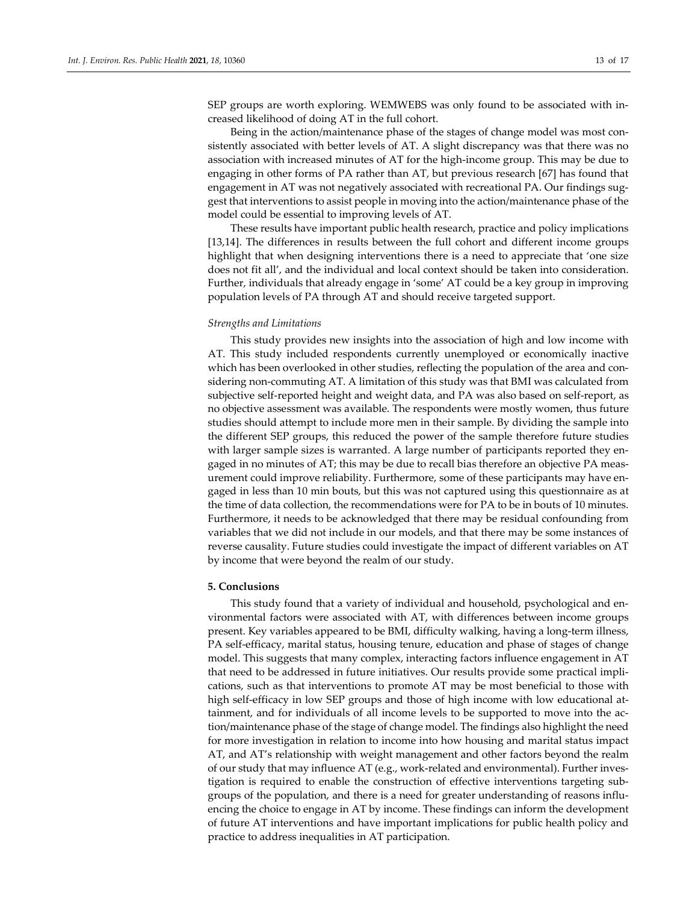SEP groups are worth exploring. WEMWEBS was only found to be associated with increased likelihood of doing AT in the full cohort.

Being in the action/maintenance phase of the stages of change model was most consistently associated with better levels of AT. A slight discrepancy was that there was no association with increased minutes of AT for the high-income group. This may be due to engaging in other forms of PA rather than AT, but previous research [67] has found that engagement in AT was not negatively associated with recreational PA. Our findings suggest that interventions to assist people in moving into the action/maintenance phase of the model could be essential to improving levels of AT.

These results have important public health research, practice and policy implications [13,14]. The differences in results between the full cohort and different income groups highlight that when designing interventions there is a need to appreciate that 'one size does not fit all', and the individual and local context should be taken into consideration. Further, individuals that already engage in 'some' AT could be a key group in improving population levels of PA through AT and should receive targeted support.

#### *Strengths and Limitations*

This study provides new insights into the association of high and low income with AT. This study included respondents currently unemployed or economically inactive which has been overlooked in other studies, reflecting the population of the area and considering non-commuting AT. A limitation of this study was that BMI was calculated from subjective self-reported height and weight data, and PA was also based on self-report, as no objective assessment was available. The respondents were mostly women, thus future studies should attempt to include more men in their sample. By dividing the sample into the different SEP groups, this reduced the power of the sample therefore future studies with larger sample sizes is warranted. A large number of participants reported they engaged in no minutes of AT; this may be due to recall bias therefore an objective PA measurement could improve reliability. Furthermore, some of these participants may have engaged in less than 10 min bouts, but this was not captured using this questionnaire as at the time of data collection, the recommendations were for PA to be in bouts of 10 minutes. Furthermore, it needs to be acknowledged that there may be residual confounding from variables that we did not include in our models, and that there may be some instances of reverse causality. Future studies could investigate the impact of different variables on AT by income that were beyond the realm of our study.

### **5. Conclusions**

This study found that a variety of individual and household, psychological and environmental factors were associated with AT, with differences between income groups present. Key variables appeared to be BMI, difficulty walking, having a long-term illness, PA self-efficacy, marital status, housing tenure, education and phase of stages of change model. This suggests that many complex, interacting factors influence engagement in AT that need to be addressed in future initiatives. Our results provide some practical implications, such as that interventions to promote AT may be most beneficial to those with high self-efficacy in low SEP groups and those of high income with low educational attainment, and for individuals of all income levels to be supported to move into the action/maintenance phase of the stage of change model. The findings also highlight the need for more investigation in relation to income into how housing and marital status impact AT, and AT's relationship with weight management and other factors beyond the realm of our study that may influence AT (e.g., work-related and environmental). Further investigation is required to enable the construction of effective interventions targeting subgroups of the population, and there is a need for greater understanding of reasons influencing the choice to engage in AT by income. These findings can inform the development of future AT interventions and have important implications for public health policy and practice to address inequalities in AT participation.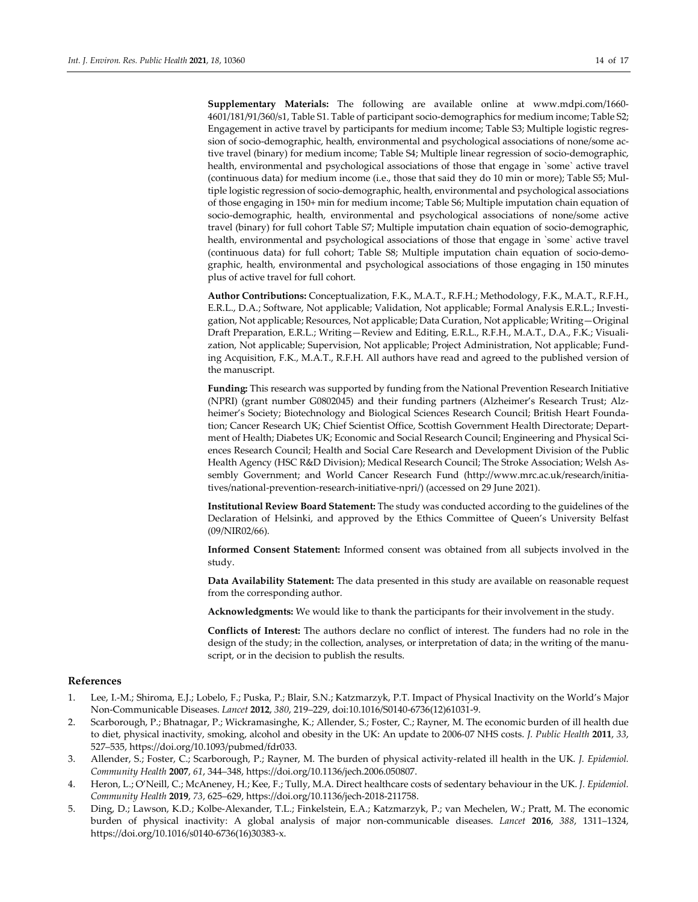**Supplementary Materials:** The following are available online at www.mdpi.com/1660- 4601/181/91/360/s1, Table S1. Table of participant socio-demographics for medium income; Table S2; Engagement in active travel by participants for medium income; Table S3; Multiple logistic regression of socio-demographic, health, environmental and psychological associations of none/some active travel (binary) for medium income; Table S4; Multiple linear regression of socio-demographic, health, environmental and psychological associations of those that engage in `some` active travel (continuous data) for medium income (i.e., those that said they do 10 min or more); Table S5; Multiple logistic regression of socio-demographic, health, environmental and psychological associations of those engaging in 150+ min for medium income; Table S6; Multiple imputation chain equation of socio-demographic, health, environmental and psychological associations of none/some active travel (binary) for full cohort Table S7; Multiple imputation chain equation of socio-demographic, health, environmental and psychological associations of those that engage in `some` active travel (continuous data) for full cohort; Table S8; Multiple imputation chain equation of socio-demographic, health, environmental and psychological associations of those engaging in 150 minutes plus of active travel for full cohort.

**Author Contributions:** Conceptualization, F.K., M.A.T., R.F.H.; Methodology, F.K., M.A.T., R.F.H., E.R.L., D.A.; Software, Not applicable; Validation, Not applicable; Formal Analysis E.R.L.; Investigation, Not applicable; Resources, Not applicable; Data Curation, Not applicable; Writing—Original Draft Preparation, E.R.L.; Writing—Review and Editing, E.R.L., R.F.H., M.A.T., D.A., F.K.; Visualization, Not applicable; Supervision, Not applicable; Project Administration, Not applicable; Funding Acquisition, F.K., M.A.T., R.F.H. All authors have read and agreed to the published version of the manuscript.

**Funding:** This research was supported by funding from the National Prevention Research Initiative (NPRI) (grant number G0802045) and their funding partners (Alzheimer's Research Trust; Alzheimer's Society; Biotechnology and Biological Sciences Research Council; British Heart Foundation; Cancer Research UK; Chief Scientist Office, Scottish Government Health Directorate; Department of Health; Diabetes UK; Economic and Social Research Council; Engineering and Physical Sciences Research Council; Health and Social Care Research and Development Division of the Public Health Agency (HSC R&D Division); Medical Research Council; The Stroke Association; Welsh Assembly Government; and World Cancer Research Fund (http://www.mrc.ac.uk/research/initiatives/national-prevention-research-initiative-npri/) (accessed on 29 June 2021).

**Institutional Review Board Statement:** The study was conducted according to the guidelines of the Declaration of Helsinki, and approved by the Ethics Committee of Queen's University Belfast (09/NIR02/66).

**Informed Consent Statement:** Informed consent was obtained from all subjects involved in the study.

**Data Availability Statement:** The data presented in this study are available on reasonable request from the corresponding author.

**Acknowledgments:** We would like to thank the participants for their involvement in the study.

**Conflicts of Interest:** The authors declare no conflict of interest. The funders had no role in the design of the study; in the collection, analyses, or interpretation of data; in the writing of the manuscript, or in the decision to publish the results.

#### **References**

- 1. Lee, I.-M.; Shiroma, E.J.; Lobelo, F.; Puska, P.; Blair, S.N.; Katzmarzyk, P.T. Impact of Physical Inactivity on the World's Major Non-Communicable Diseases. *Lancet* **2012**, *380*, 219–229, doi:10.1016/S0140-6736(12)61031-9.
- 2. Scarborough, P.; Bhatnagar, P.; Wickramasinghe, K.; Allender, S.; Foster, C.; Rayner, M. The economic burden of ill health due to diet, physical inactivity, smoking, alcohol and obesity in the UK: An update to 2006-07 NHS costs. *J. Public Health* **2011**, *33*, 527–535, https://doi.org/10.1093/pubmed/fdr033.
- 3. Allender, S.; Foster, C.; Scarborough, P.; Rayner, M. The burden of physical activity-related ill health in the UK. *J. Epidemiol. Community Health* **2007**, *61*, 344–348, https://doi.org/10.1136/jech.2006.050807.
- 4. Heron, L.; O'Neill, C.; McAneney, H.; Kee, F.; Tully, M.A. Direct healthcare costs of sedentary behaviour in the UK. *J. Epidemiol. Community Health* **2019**, *73*, 625–629, https://doi.org/10.1136/jech-2018-211758.
- 5. Ding, D.; Lawson, K.D.; Kolbe-Alexander, T.L.; Finkelstein, E.A.; Katzmarzyk, P.; van Mechelen, W.; Pratt, M. The economic burden of physical inactivity: A global analysis of major non-communicable diseases. *Lancet* **2016**, *388*, 1311–1324, https://doi.org/10.1016/s0140-6736(16)30383-x.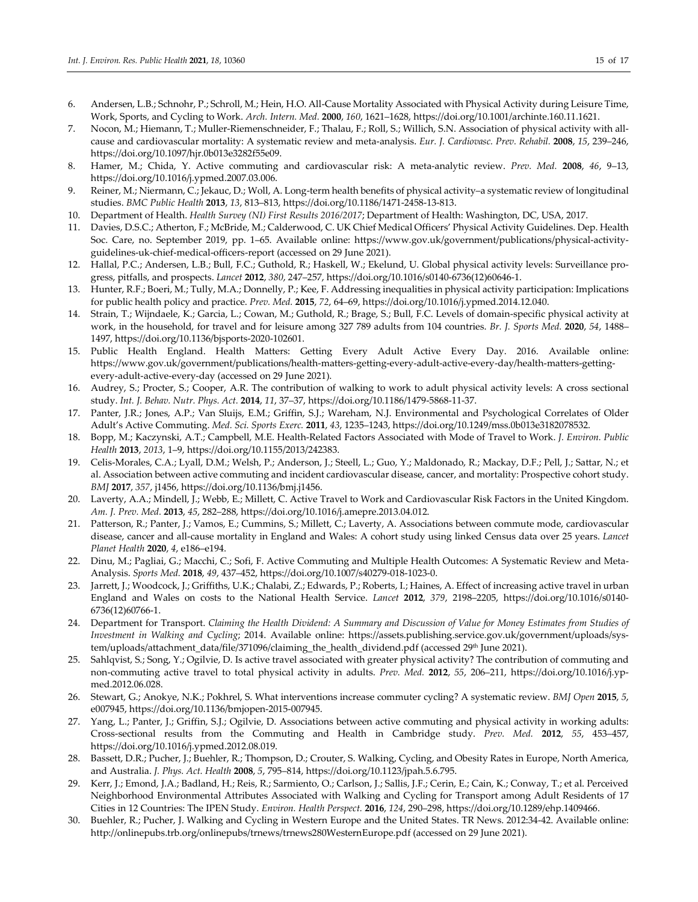- 6. Andersen, L.B.; Schnohr, P.; Schroll, M.; Hein, H.O. All-Cause Mortality Associated with Physical Activity during Leisure Time, Work, Sports, and Cycling to Work. *Arch. Intern. Med.* **2000**, *160*, 1621–1628, https://doi.org/10.1001/archinte.160.11.1621.
- 7. Nocon, M.; Hiemann, T.; Muller-Riemenschneider, F.; Thalau, F.; Roll, S.; Willich, S.N. Association of physical activity with allcause and cardiovascular mortality: A systematic review and meta-analysis. *Eur. J. Cardiovasc. Prev. Rehabil.* **2008**, *15*, 239–246, https://doi.org/10.1097/hjr.0b013e3282f55e09.
- 8. Hamer, M.; Chida, Y. Active commuting and cardiovascular risk: A meta-analytic review. *Prev. Med.* **2008**, *46*, 9–13, https://doi.org/10.1016/j.ypmed.2007.03.006.
- 9. Reiner, M.; Niermann, C.; Jekauc, D.; Woll, A. Long-term health benefits of physical activity–a systematic review of longitudinal studies. *BMC Public Health* **2013**, *13*, 813–813, https://doi.org/10.1186/1471-2458-13-813.
- 10. Department of Health. *Health Survey (NI) First Results 2016/2017*; Department of Health: Washington, DC, USA, 2017.
- 11. Davies, D.S.C.; Atherton, F.; McBride, M.; Calderwood, C. UK Chief Medical Officers' Physical Activity Guidelines. Dep. Health Soc. Care, no. September 2019, pp. 1–65. Available online: https://www.gov.uk/government/publications/physical-activityguidelines-uk-chief-medical-officers-report (accessed on 29 June 2021).
- 12. Hallal, P.C.; Andersen, L.B.; Bull, F.C.; Guthold, R.; Haskell, W.; Ekelund, U. Global physical activity levels: Surveillance progress, pitfalls, and prospects. *Lancet* **2012**, *380*, 247–257, https://doi.org/10.1016/s0140-6736(12)60646-1.
- 13. Hunter, R.F.; Boeri, M.; Tully, M.A.; Donnelly, P.; Kee, F. Addressing inequalities in physical activity participation: Implications for public health policy and practice. *Prev. Med.* **2015**, *72*, 64–69, https://doi.org/10.1016/j.ypmed.2014.12.040.
- 14. Strain, T.; Wijndaele, K.; Garcia, L.; Cowan, M.; Guthold, R.; Brage, S.; Bull, F.C. Levels of domain-specific physical activity at work, in the household, for travel and for leisure among 327 789 adults from 104 countries. *Br. J. Sports Med.* **2020**, *54*, 1488– 1497, https://doi.org/10.1136/bjsports-2020-102601.
- 15. Public Health England. Health Matters: Getting Every Adult Active Every Day. 2016. Available online: https://www.gov.uk/government/publications/health-matters-getting-every-adult-active-every-day/health-matters-gettingevery-adult-active-every-day (accessed on 29 June 2021).
- 16. Audrey, S.; Procter, S.; Cooper, A.R. The contribution of walking to work to adult physical activity levels: A cross sectional study. *Int. J. Behav. Nutr. Phys. Act.* **2014**, *11*, 37–37, https://doi.org/10.1186/1479-5868-11-37.
- 17. Panter, J.R.; Jones, A.P.; Van Sluijs, E.M.; Griffin, S.J.; Wareham, N.J. Environmental and Psychological Correlates of Older Adult's Active Commuting. *Med. Sci. Sports Exerc.* **2011**, *43*, 1235–1243, https://doi.org/10.1249/mss.0b013e3182078532.
- 18. Bopp, M.; Kaczynski, A.T.; Campbell, M.E. Health-Related Factors Associated with Mode of Travel to Work. *J. Environ. Public Health* **2013**, *2013*, 1–9, https://doi.org/10.1155/2013/242383.
- 19. Celis-Morales, C.A.; Lyall, D.M.; Welsh, P.; Anderson, J.; Steell, L.; Guo, Y.; Maldonado, R.; Mackay, D.F.; Pell, J.; Sattar, N.; et al. Association between active commuting and incident cardiovascular disease, cancer, and mortality: Prospective cohort study. *BMJ* **2017**, *357*, j1456, https://doi.org/10.1136/bmj.j1456.
- 20. Laverty, A.A.; Mindell, J.; Webb, E.; Millett, C. Active Travel to Work and Cardiovascular Risk Factors in the United Kingdom. *Am. J. Prev. Med.* **2013**, *45*, 282–288, https://doi.org/10.1016/j.amepre.2013.04.012.
- 21. Patterson, R.; Panter, J.; Vamos, E.; Cummins, S.; Millett, C.; Laverty, A. Associations between commute mode, cardiovascular disease, cancer and all-cause mortality in England and Wales: A cohort study using linked Census data over 25 years. *Lancet Planet Health* **2020**, *4*, e186–e194.
- 22. Dinu, M.; Pagliai, G.; Macchi, C.; Sofi, F. Active Commuting and Multiple Health Outcomes: A Systematic Review and Meta-Analysis. *Sports Med.* **2018**, *49*, 437–452, https://doi.org/10.1007/s40279-018-1023-0.
- 23. Jarrett, J.; Woodcock, J.; Griffiths, U.K.; Chalabi, Z.; Edwards, P.; Roberts, I.; Haines, A. Effect of increasing active travel in urban England and Wales on costs to the National Health Service. *Lancet* **2012**, *379*, 2198–2205, https://doi.org/10.1016/s0140- 6736(12)60766-1.
- 24. Department for Transport. *Claiming the Health Dividend: A Summary and Discussion of Value for Money Estimates from Studies of Investment in Walking and Cycling*; 2014. Available online: https://assets.publishing.service.gov.uk/government/uploads/system/uploads/attachment\_data/file/371096/claiming\_the\_health\_dividend.pdf (accessed 29<sup>th</sup> June 2021).
- 25. Sahlqvist, S.; Song, Y.; Ogilvie, D. Is active travel associated with greater physical activity? The contribution of commuting and non-commuting active travel to total physical activity in adults. *Prev. Med.* **2012**, *55*, 206–211, https://doi.org/10.1016/j.ypmed.2012.06.028.
- 26. Stewart, G.; Anokye, N.K.; Pokhrel, S. What interventions increase commuter cycling? A systematic review. *BMJ Open* **2015**, *5*, e007945, https://doi.org/10.1136/bmjopen-2015-007945.
- 27. Yang, L.; Panter, J.; Griffin, S.J.; Ogilvie, D. Associations between active commuting and physical activity in working adults: Cross-sectional results from the Commuting and Health in Cambridge study. *Prev. Med.* **2012**, *55*, 453–457, https://doi.org/10.1016/j.ypmed.2012.08.019.
- 28. Bassett, D.R.; Pucher, J.; Buehler, R.; Thompson, D.; Crouter, S. Walking, Cycling, and Obesity Rates in Europe, North America, and Australia. *J. Phys. Act. Health* **2008**, *5*, 795–814, https://doi.org/10.1123/jpah.5.6.795.
- 29. Kerr, J.; Emond, J.A.; Badland, H.; Reis, R.; Sarmiento, O.; Carlson, J.; Sallis, J.F.; Cerin, E.; Cain, K.; Conway, T.; et al. Perceived Neighborhood Environmental Attributes Associated with Walking and Cycling for Transport among Adult Residents of 17 Cities in 12 Countries: The IPEN Study. *Environ. Health Perspect.* **2016**, *124*, 290–298, https://doi.org/10.1289/ehp.1409466.
- 30. Buehler, R.; Pucher, J. Walking and Cycling in Western Europe and the United States. TR News. 2012:34-42. Available online: http://onlinepubs.trb.org/onlinepubs/trnews/trnews280WesternEurope.pdf (accessed on 29 June 2021).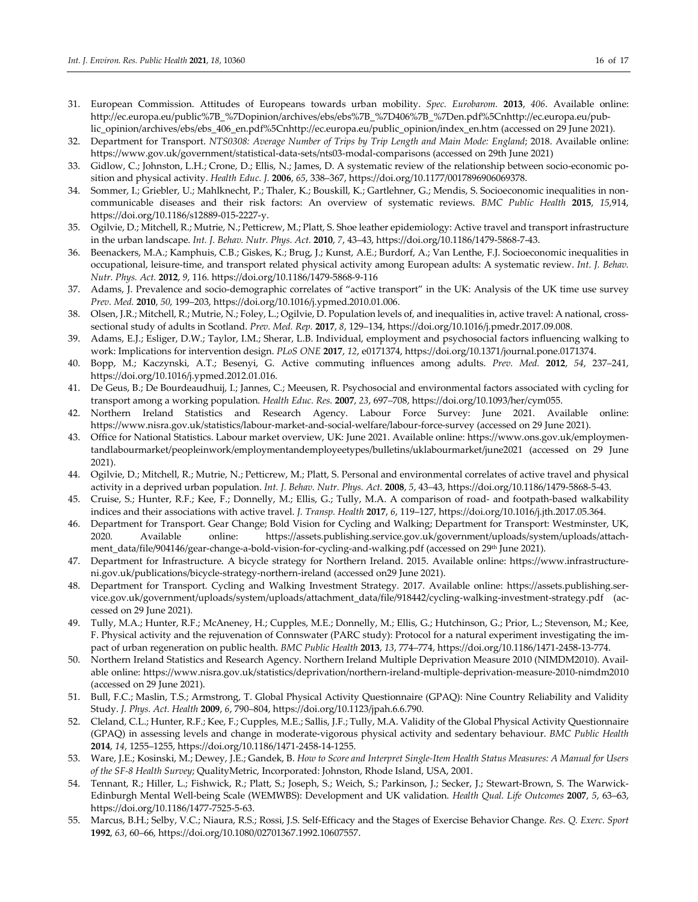- 31. European Commission. Attitudes of Europeans towards urban mobility. *Spec. Eurobarom.* **2013**, *406*. Available online: http://ec.europa.eu/public%7B\_%7Dopinion/archives/ebs/ebs%7B\_%7D406%7B\_%7Den.pdf%5Cnhttp://ec.europa.eu/public\_opinion/archives/ebs/ebs\_406\_en.pdf%5Cnhttp://ec.europa.eu/public\_opinion/index\_en.htm (accessed on 29 June 2021).
- 32. Department for Transport. *NTS0308: Average Number of Trips by Trip Length and Main Mode: England*; 2018. Available online: https://www.gov.uk/government/statistical-data-sets/nts03-modal-comparisons (accessed on 29th June 2021)
- 33. Gidlow, C.; Johnston, L.H.; Crone, D.; Ellis, N.; James, D. A systematic review of the relationship between socio-economic position and physical activity. *Health Educ. J.* **2006**, *65*, 338–367, https://doi.org/10.1177/0017896906069378.
- 34. Sommer, I.; Griebler, U.; Mahlknecht, P.; Thaler, K.; Bouskill, K.; Gartlehner, G.; Mendis, S. Socioeconomic inequalities in noncommunicable diseases and their risk factors: An overview of systematic reviews. *BMC Public Health* **2015**, *15*,914, https://doi.org/10.1186/s12889-015-2227-y.
- 35. Ogilvie, D.; Mitchell, R.; Mutrie, N.; Petticrew, M.; Platt, S. Shoe leather epidemiology: Active travel and transport infrastructure in the urban landscape. *Int. J. Behav. Nutr. Phys. Act.* **2010**, *7*, 43–43, https://doi.org/10.1186/1479-5868-7-43.
- 36. Beenackers, M.A.; Kamphuis, C.B.; Giskes, K.; Brug, J.; Kunst, A.E.; Burdorf, A.; Van Lenthe, F.J. Socioeconomic inequalities in occupational, leisure-time, and transport related physical activity among European adults: A systematic review. *Int. J. Behav. Nutr. Phys. Act.* **2012**, *9*, 116. https://doi.org/10.1186/1479-5868-9-116
- 37. Adams, J. Prevalence and socio-demographic correlates of "active transport" in the UK: Analysis of the UK time use survey *Prev. Med.* **2010**, *50*, 199–203, https://doi.org/10.1016/j.ypmed.2010.01.006.
- 38. Olsen, J.R.; Mitchell, R.; Mutrie, N.; Foley, L.; Ogilvie, D. Population levels of, and inequalities in, active travel: A national, crosssectional study of adults in Scotland. *Prev. Med. Rep.* **2017**, *8*, 129–134, https://doi.org/10.1016/j.pmedr.2017.09.008.
- 39. Adams, E.J.; Esliger, D.W.; Taylor, I.M.; Sherar, L.B. Individual, employment and psychosocial factors influencing walking to work: Implications for intervention design. *PLoS ONE* **2017**, *12*, e0171374, https://doi.org/10.1371/journal.pone.0171374.
- 40. Bopp, M.; Kaczynski, A.T.; Besenyi, G. Active commuting influences among adults. *Prev. Med.* **2012**, *54*, 237–241, https://doi.org/10.1016/j.ypmed.2012.01.016.
- 41. De Geus, B.; De Bourdeaudhuij, I.; Jannes, C.; Meeusen, R. Psychosocial and environmental factors associated with cycling for transport among a working population. *Health Educ. Res.* **2007**, *23*, 697–708, https://doi.org/10.1093/her/cym055.
- 42. Northern Ireland Statistics and Research Agency. Labour Force Survey: June 2021. Available online: https://www.nisra.gov.uk/statistics/labour-market-and-social-welfare/labour-force-survey (accessed on 29 June 2021).
- 43. Office for National Statistics. Labour market overview, UK: June 2021. Available online: https://www.ons.gov.uk/employmentandlabourmarket/peopleinwork/employmentandemployeetypes/bulletins/uklabourmarket/june2021 (accessed on 29 June 2021).
- 44. Ogilvie, D.; Mitchell, R.; Mutrie, N.; Petticrew, M.; Platt, S. Personal and environmental correlates of active travel and physical activity in a deprived urban population. *Int. J. Behav. Nutr. Phys. Act.* **2008**, *5*, 43–43, https://doi.org/10.1186/1479-5868-5-43.
- 45. Cruise, S.; Hunter, R.F.; Kee, F.; Donnelly, M.; Ellis, G.; Tully, M.A. A comparison of road- and footpath-based walkability indices and their associations with active travel. *J. Transp. Health* **2017**, *6*, 119–127, https://doi.org/10.1016/j.jth.2017.05.364.
- 46. Department for Transport. Gear Change; Bold Vision for Cycling and Walking; Department for Transport: Westminster, UK, 2020. Available online: https://assets.publishing.service.gov.uk/government/uploads/system/uploads/attachment\_data/file/904146/gear-change-a-bold-vision-for-cycling-and-walking.pdf (accessed on 29th June 2021).
- 47. Department for Infrastructure. A bicycle strategy for Northern Ireland. 2015. Available online: https://www.infrastructureni.gov.uk/publications/bicycle-strategy-northern-ireland (accessed on29 June 2021).
- 48. Department for Transport. Cycling and Walking Investment Strategy. 2017. Available online: https://assets.publishing.service.gov.uk/government/uploads/system/uploads/attachment\_data/file/918442/cycling-walking-investment-strategy.pdf (accessed on 29 June 2021).
- 49. Tully, M.A.; Hunter, R.F.; McAneney, H.; Cupples, M.E.; Donnelly, M.; Ellis, G.; Hutchinson, G.; Prior, L.; Stevenson, M.; Kee, F. Physical activity and the rejuvenation of Connswater (PARC study): Protocol for a natural experiment investigating the impact of urban regeneration on public health. *BMC Public Health* **2013**, *13*, 774–774, https://doi.org/10.1186/1471-2458-13-774.
- 50. Northern Ireland Statistics and Research Agency. Northern Ireland Multiple Deprivation Measure 2010 (NIMDM2010). Available online: https://www.nisra.gov.uk/statistics/deprivation/northern-ireland-multiple-deprivation-measure-2010-nimdm2010 (accessed on 29 June 2021).
- 51. Bull, F.C.; Maslin, T.S.; Armstrong, T. Global Physical Activity Questionnaire (GPAQ): Nine Country Reliability and Validity Study. *J. Phys. Act. Health* **2009**, *6*, 790–804, https://doi.org/10.1123/jpah.6.6.790.
- 52. Cleland, C.L.; Hunter, R.F.; Kee, F.; Cupples, M.E.; Sallis, J.F.; Tully, M.A. Validity of the Global Physical Activity Questionnaire (GPAQ) in assessing levels and change in moderate-vigorous physical activity and sedentary behaviour. *BMC Public Health* **2014**, *14*, 1255–1255, https://doi.org/10.1186/1471-2458-14-1255.
- 53. Ware, J.E.; Kosinski, M.; Dewey, J.E.; Gandek, B. *How to Score and Interpret Single-Item Health Status Measures: A Manual for Users of the SF-8 Health Survey*; QualityMetric, Incorporated: Johnston, Rhode Island, USA, 2001.
- 54. Tennant, R.; Hiller, L.; Fishwick, R.; Platt, S.; Joseph, S.; Weich, S.; Parkinson, J.; Secker, J.; Stewart-Brown, S. The Warwick-Edinburgh Mental Well-being Scale (WEMWBS): Development and UK validation. *Health Qual. Life Outcomes* **2007**, *5*, 63–63, https://doi.org/10.1186/1477-7525-5-63.
- 55. Marcus, B.H.; Selby, V.C.; Niaura, R.S.; Rossi, J.S. Self-Efficacy and the Stages of Exercise Behavior Change. *Res. Q. Exerc. Sport* **1992**, *63*, 60–66, https://doi.org/10.1080/02701367.1992.10607557.